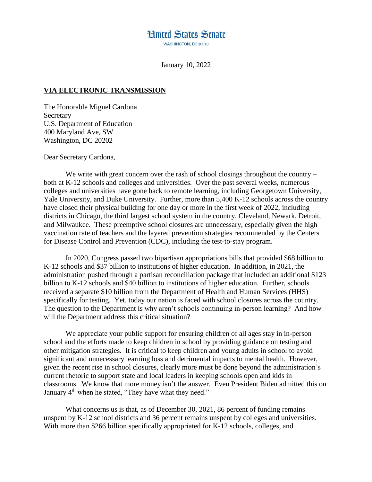

January 10, 2022

## **VIA ELECTRONIC TRANSMISSION**

The Honorable Miguel Cardona **Secretary** U.S. Department of Education 400 Maryland Ave, SW Washington, DC 20202

Dear Secretary Cardona,

We write with great concern over the rash of school closings throughout the country – both at K-12 schools and colleges and universities. Over the past several weeks, numerous colleges and universities have gone back to remote learning, including Georgetown University, Yale University, and Duke University. Further, more than 5,400 K-12 schools across the country have closed their physical building for one day or more in the first week of 2022, including districts in Chicago, the third largest school system in the country, Cleveland, Newark, Detroit, and Milwaukee. These preemptive school closures are unnecessary, especially given the high vaccination rate of teachers and the layered prevention strategies recommended by the Centers for Disease Control and Prevention (CDC), including the test-to-stay program.

In 2020, Congress passed two bipartisan appropriations bills that provided \$68 billion to K-12 schools and \$37 billion to institutions of higher education. In addition, in 2021, the administration pushed through a partisan reconciliation package that included an additional \$123 billion to K-12 schools and \$40 billion to institutions of higher education. Further, schools received a separate \$10 billion from the Department of Health and Human Services (HHS) specifically for testing. Yet, today our nation is faced with school closures across the country. The question to the Department is why aren't schools continuing in-person learning? And how will the Department address this critical situation?

We appreciate your public support for ensuring children of all ages stay in in-person school and the efforts made to keep children in school by providing guidance on testing and other mitigation strategies. It is critical to keep children and young adults in school to avoid significant and unnecessary learning loss and detrimental impacts to mental health. However, given the recent rise in school closures, clearly more must be done beyond the administration's current rhetoric to support state and local leaders in keeping schools open and kids in classrooms. We know that more money isn't the answer. Even President Biden admitted this on January 4<sup>th</sup> when he stated, "They have what they need."

What concerns us is that, as of December 30, 2021, 86 percent of funding remains unspent by K-12 school districts and 36 percent remains unspent by colleges and universities. With more than \$266 billion specifically appropriated for K-12 schools, colleges, and